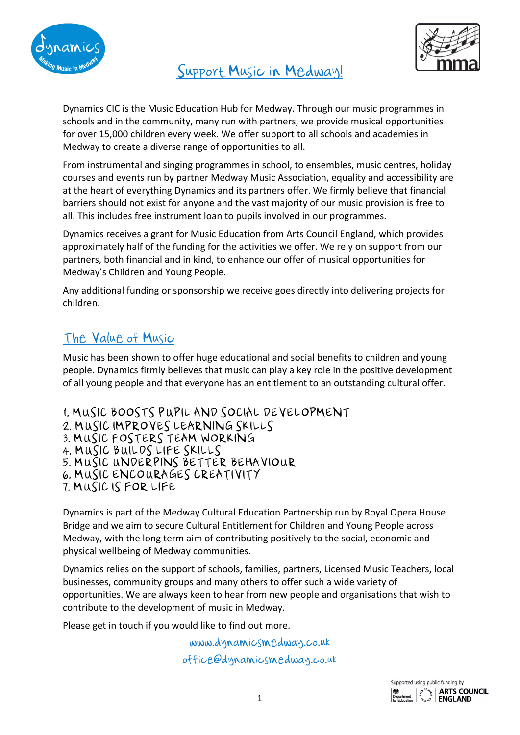

Support Music in Medway!



Dynamics CIC is the Music Education Hub for Medway. Through our music programmes in schools and in the community, many run with partners, we provide musical opportunities for over 15,000 children every week. We offer support to all schools and academies in Medway to create a diverse range of opportunities to all.

From instrumental and singing programmes in school, to ensembles, music centres, holiday courses and events run by partner Medway Music Association, equality and accessibility are at the heart of everything Dynamics and its partners offer. We firmly believe that financial barriers should not exist for anyone and the vast majority of our music provision is free to all. This includes free instrument loan to pupils involved in our programmes.

Dynamics receives a grant for Music Education from Arts Council England, which provides approximately half of the funding for the activities we offer. We rely on support from our partners, both financial and in kind, to enhance our offer of musical opportunities for Medway's Children and Young People.

Any additional funding or sponsorship we receive goes directly into delivering projects for children.

# The Value of Music

Music has been shown to offer huge educational and social benefits to children and young people. Dynamics firmly believes that music can play a key role in the positive development of all young people and that everyone has an entitlement to an outstanding cultural offer.

1. MUSIC BOOSTS PUPIL AND SOCIAL DEVELOPMENT 2. MUSIC IMPROVES LEARNING SKILLS 3. MUSIC FOSTERS TEAM WORKING 4. MUSIC BUILDS LIFE SKILLS 5. MUSIC UNDERPINS BETTER BEHAVIOUR 6. MUSIC ENCOURAGES CREATIVITY 7. MUSIC IS FOR LIFE

Dynamics is part of the Medway Cultural Education Partnership run by Royal Opera House Bridge and we aim to secure Cultural Entitlement for Children and Young People across Medway, with the long term aim of contributing positively to the social, economic and physical wellbeing of Medway communities.

Dynamics relies on the support of schools, families, partners, Licensed Music Teachers, local businesses, community groups and many others to offer such a wide variety of opportunities. We are always keen to hear from new people and organisations that wish to contribute to the development of music in Medway.

Please get in touch if you would like to find out more.

www.dynamicsmedway.co.uk office@dynamicsmedway.co.uk